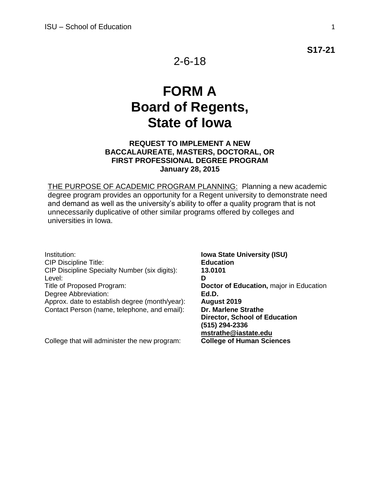**S17-21**

# **FORM A Board of Regents, State of Iowa**

#### **REQUEST TO IMPLEMENT A NEW BACCALAUREATE, MASTERS, DOCTORAL, OR FIRST PROFESSIONAL DEGREE PROGRAM January 28, 2015**

THE PURPOSE OF ACADEMIC PROGRAM PLANNING: Planning a new academic degree program provides an opportunity for a Regent university to demonstrate need and demand as well as the university's ability to offer a quality program that is not unnecessarily duplicative of other similar programs offered by colleges and universities in Iowa.

Institution: **Iowa State University (ISU)** CIP Discipline Title: **Education** CIP Discipline Specialty Number (six digits): **13.0101** Level: **D** Title of Proposed Program: **Doctor of Education,** major in Education Degree Abbreviation: **Ed.D.** Approx. date to establish degree (month/year): **August 2019**  Contact Person (name, telephone, and email): **Dr. Marlene Strathe**

College that will administer the new program: **College of Human Sciences**

**Director, School of Education (515) 294-2336 [mstrathe@iastate.edu](mailto:mstrathe@iastate.edu)**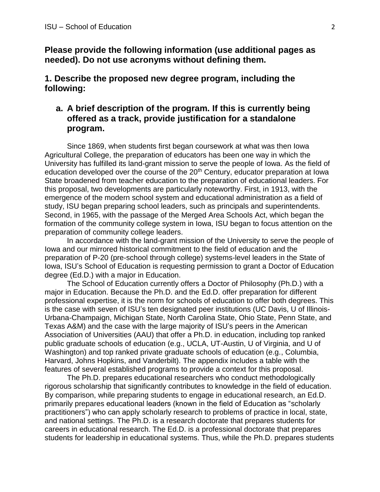**Please provide the following information (use additional pages as needed). Do not use acronyms without defining them.**

**1. Describe the proposed new degree program, including the following:**

#### **a. A brief description of the program. If this is currently being offered as a track, provide justification for a standalone program.**

Since 1869, when students first began coursework at what was then Iowa Agricultural College, the preparation of educators has been one way in which the University has fulfilled its land-grant mission to serve the people of Iowa. As the field of education developed over the course of the  $20<sup>th</sup>$  Century, educator preparation at Iowa State broadened from teacher education to the preparation of educational leaders. For this proposal, two developments are particularly noteworthy. First, in 1913, with the emergence of the modern school system and educational administration as a field of study, ISU began preparing school leaders, such as principals and superintendents. Second, in 1965, with the passage of the Merged Area Schools Act, which began the formation of the community college system in Iowa, ISU began to focus attention on the preparation of community college leaders.

In accordance with the land-grant mission of the University to serve the people of Iowa and our mirrored historical commitment to the field of education and the preparation of P-20 (pre-school through college) systems-level leaders in the State of Iowa, ISU's School of Education is requesting permission to grant a Doctor of Education degree (Ed.D.) with a major in Education.

The School of Education currently offers a Doctor of Philosophy (Ph.D.) with a major in Education. Because the Ph.D. and the Ed.D. offer preparation for different professional expertise, it is the norm for schools of education to offer both degrees. This is the case with seven of ISU's ten designated peer institutions (UC Davis, U of Illinois-Urbana-Champaign, Michigan State, North Carolina State, Ohio State, Penn State, and Texas A&M) and the case with the large majority of ISU's peers in the American Association of Universities (AAU) that offer a Ph.D. in education, including top ranked public graduate schools of education (e.g., UCLA, UT-Austin, U of Virginia, and U of Washington) and top ranked private graduate schools of education (e.g., Columbia, Harvard, Johns Hopkins, and Vanderbilt). The appendix includes a table with the features of several established programs to provide a context for this proposal.

The Ph.D. prepares educational researchers who conduct methodologically rigorous scholarship that significantly contributes to knowledge in the field of education. By comparison, while preparing students to engage in educational research, an Ed.D. primarily prepares educational leaders (known in the field of Education as "scholarly practitioners") who can apply scholarly research to problems of practice in local, state, and national settings. The Ph.D. is a research doctorate that prepares students for careers in educational research. The Ed.D. is a professional doctorate that prepares students for leadership in educational systems. Thus, while the Ph.D. prepares students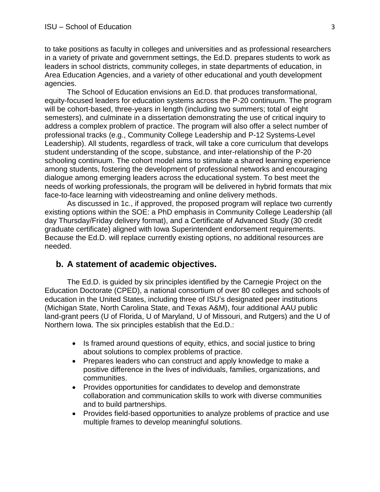to take positions as faculty in colleges and universities and as professional researchers in a variety of private and government settings, the Ed.D. prepares students to work as leaders in school districts, community colleges, in state departments of education, in Area Education Agencies, and a variety of other educational and youth development agencies.

The School of Education envisions an Ed.D. that produces transformational, equity-focused leaders for education systems across the P-20 continuum. The program will be cohort-based, three-years in length (including two summers; total of eight semesters), and culminate in a dissertation demonstrating the use of critical inquiry to address a complex problem of practice. The program will also offer a select number of professional tracks (e.g., Community College Leadership and P-12 Systems-Level Leadership). All students, regardless of track, will take a core curriculum that develops student understanding of the scope, substance, and inter-relationship of the P-20 schooling continuum. The cohort model aims to stimulate a shared learning experience among students, fostering the development of professional networks and encouraging dialogue among emerging leaders across the educational system. To best meet the needs of working professionals, the program will be delivered in hybrid formats that mix face-to-face learning with videostreaming and online delivery methods.

As discussed in 1c., if approved, the proposed program will replace two currently existing options within the SOE: a PhD emphasis in Community College Leadership (all day Thursday/Friday delivery format), and a Certificate of Advanced Study (30 credit graduate certificate) aligned with Iowa Superintendent endorsement requirements. Because the Ed.D. will replace currently existing options, no additional resources are needed.

#### **b. A statement of academic objectives.**

The Ed.D. is guided by six principles identified by the Carnegie Project on the Education Doctorate (CPED), a national consortium of over 80 colleges and schools of education in the United States, including three of ISU's designated peer institutions (Michigan State, North Carolina State, and Texas A&M), four additional AAU public land-grant peers (U of Florida, U of Maryland, U of Missouri, and Rutgers) and the U of Northern Iowa. The six principles establish that the Ed.D.:

- Is framed around questions of equity, ethics, and social justice to bring about solutions to complex problems of practice.
- Prepares leaders who can construct and apply knowledge to make a positive difference in the lives of individuals, families, organizations, and communities.
- Provides opportunities for candidates to develop and demonstrate collaboration and communication skills to work with diverse communities and to build partnerships.
- Provides field-based opportunities to analyze problems of practice and use multiple frames to develop meaningful solutions.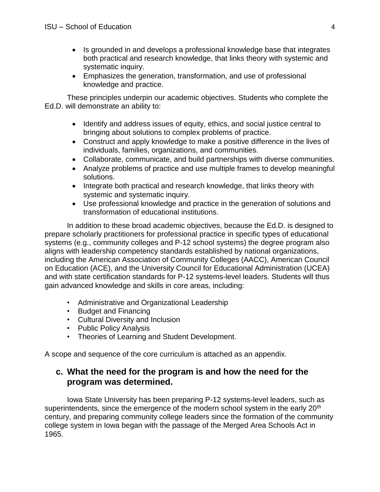- Is grounded in and develops a professional knowledge base that integrates both practical and research knowledge, that links theory with systemic and systematic inquiry.
- Emphasizes the generation, transformation, and use of professional knowledge and practice.

These principles underpin our academic objectives. Students who complete the Ed.D. will demonstrate an ability to:

- Identify and address issues of equity, ethics, and social justice central to bringing about solutions to complex problems of practice.
- Construct and apply knowledge to make a positive difference in the lives of individuals, families, organizations, and communities.
- Collaborate, communicate, and build partnerships with diverse communities.
- Analyze problems of practice and use multiple frames to develop meaningful solutions.
- Integrate both practical and research knowledge, that links theory with systemic and systematic inquiry.
- Use professional knowledge and practice in the generation of solutions and transformation of educational institutions.

In addition to these broad academic objectives, because the Ed.D. is designed to prepare scholarly practitioners for professional practice in specific types of educational systems (e.g., community colleges and P-12 school systems) the degree program also aligns with leadership competency standards established by national organizations, including the American Association of Community Colleges (AACC), American Council on Education (ACE), and the University Council for Educational Administration (UCEA) and with state certification standards for P-12 systems-level leaders. Students will thus gain advanced knowledge and skills in core areas, including:

- Administrative and Organizational Leadership
- Budget and Financing
- Cultural Diversity and Inclusion
- Public Policy Analysis
- Theories of Learning and Student Development.

A scope and sequence of the core curriculum is attached as an appendix.

### **c. What the need for the program is and how the need for the program was determined.**

Iowa State University has been preparing P-12 systems-level leaders, such as superintendents, since the emergence of the modern school system in the early 20<sup>th</sup> century, and preparing community college leaders since the formation of the community college system in Iowa began with the passage of the Merged Area Schools Act in 1965.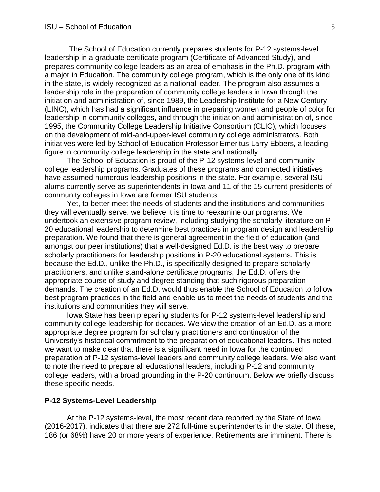The School of Education currently prepares students for P-12 systems-level leadership in a graduate certificate program (Certificate of Advanced Study), and prepares community college leaders as an area of emphasis in the Ph.D. program with a major in Education. The community college program, which is the only one of its kind in the state, is widely recognized as a national leader. The program also assumes a leadership role in the preparation of community college leaders in Iowa through the initiation and administration of, since 1989, the Leadership Institute for a New Century (LINC), which has had a significant influence in preparing women and people of color for leadership in community colleges, and through the initiation and administration of, since 1995, the Community College Leadership Initiative Consortium (CLIC), which focuses on the development of mid-and-upper-level community college administrators. Both initiatives were led by School of Education Professor Emeritus Larry Ebbers, a leading figure in community college leadership in the state and nationally.

The School of Education is proud of the P-12 systems-level and community college leadership programs. Graduates of these programs and connected initiatives have assumed numerous leadership positions in the state. For example, several ISU alums currently serve as superintendents in Iowa and 11 of the 15 current presidents of community colleges in Iowa are former ISU students.

Yet, to better meet the needs of students and the institutions and communities they will eventually serve, we believe it is time to reexamine our programs. We undertook an extensive program review, including studying the scholarly literature on P-20 educational leadership to determine best practices in program design and leadership preparation. We found that there is general agreement in the field of education (and amongst our peer institutions) that a well-designed Ed.D. is the best way to prepare scholarly practitioners for leadership positions in P-20 educational systems. This is because the Ed.D., unlike the Ph.D., is specifically designed to prepare scholarly practitioners, and unlike stand-alone certificate programs, the Ed.D. offers the appropriate course of study and degree standing that such rigorous preparation demands. The creation of an Ed.D. would thus enable the School of Education to follow best program practices in the field and enable us to meet the needs of students and the institutions and communities they will serve.

Iowa State has been preparing students for P-12 systems-level leadership and community college leadership for decades. We view the creation of an Ed.D. as a more appropriate degree program for scholarly practitioners and continuation of the University's historical commitment to the preparation of educational leaders. This noted, we want to make clear that there is a significant need in Iowa for the continued preparation of P-12 systems-level leaders and community college leaders. We also want to note the need to prepare all educational leaders, including P-12 and community college leaders, with a broad grounding in the P-20 continuum. Below we briefly discuss these specific needs.

#### **P-12 Systems-Level Leadership**

At the P-12 systems-level, the most recent data reported by the State of Iowa (2016-2017), indicates that there are 272 full-time superintendents in the state. Of these, 186 (or 68%) have 20 or more years of experience. Retirements are imminent. There is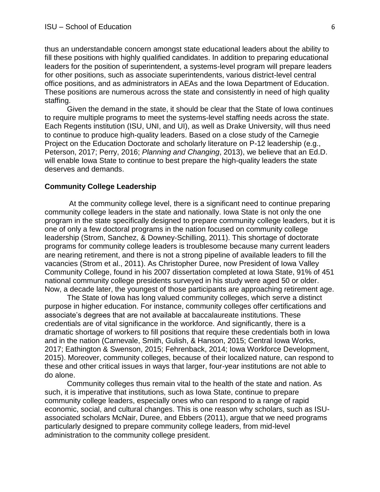thus an understandable concern amongst state educational leaders about the ability to fill these positions with highly qualified candidates. In addition to preparing educational leaders for the position of superintendent, a systems-level program will prepare leaders for other positions, such as associate superintendents, various district-level central office positions, and as administrators in AEAs and the Iowa Department of Education. These positions are numerous across the state and consistently in need of high quality staffing.

Given the demand in the state, it should be clear that the State of Iowa continues to require multiple programs to meet the systems-level staffing needs across the state. Each Regents institution (ISU, UNI, and UI), as well as Drake University, will thus need to continue to produce high-quality leaders. Based on a close study of the Carnegie Project on the Education Doctorate and scholarly literature on P-12 leadership (e.g., Peterson, 2017; Perry, 2016; *Planning and Changing*, 2013), we believe that an Ed.D. will enable Iowa State to continue to best prepare the high-quality leaders the state deserves and demands.

#### **Community College Leadership**

At the community college level, there is a significant need to continue preparing community college leaders in the state and nationally. Iowa State is not only the one program in the state specifically designed to prepare community college leaders, but it is one of only a few doctoral programs in the nation focused on community college leadership (Strom, Sanchez, & Downey-Schilling, 2011). This shortage of doctorate programs for community college leaders is troublesome because many current leaders are nearing retirement, and there is not a strong pipeline of available leaders to fill the vacancies (Strom et al., 2011). As Christopher Duree, now President of Iowa Valley Community College, found in his 2007 dissertation completed at Iowa State, 91% of 451 national community college presidents surveyed in his study were aged 50 or older. Now, a decade later, the youngest of those participants are approaching retirement age.

The State of Iowa has long valued community colleges, which serve a distinct purpose in higher education. For instance, community colleges offer certifications and associate's degrees that are not available at baccalaureate institutions. These credentials are of vital significance in the workforce. And significantly, there is a dramatic shortage of workers to fill positions that require these credentials both in Iowa and in the nation (Carnevale, Smith, Gulish, & Hanson, 2015; Central Iowa Works, 2017; Eathington & Swenson, 2015; Fehrenback, 2014; Iowa Workforce Development, 2015). Moreover, community colleges, because of their localized nature, can respond to these and other critical issues in ways that larger, four-year institutions are not able to do alone.

Community colleges thus remain vital to the health of the state and nation. As such, it is imperative that institutions, such as Iowa State, continue to prepare community college leaders, especially ones who can respond to a range of rapid economic, social, and cultural changes. This is one reason why scholars, such as ISUassociated scholars McNair, Duree, and Ebbers (2011), argue that we need programs particularly designed to prepare community college leaders, from mid-level administration to the community college president.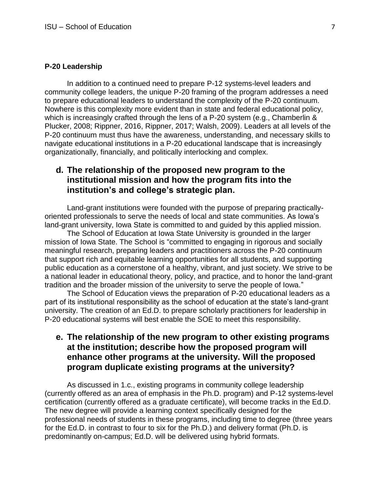#### **P-20 Leadership**

In addition to a continued need to prepare P-12 systems-level leaders and community college leaders, the unique P-20 framing of the program addresses a need to prepare educational leaders to understand the complexity of the P-20 continuum. Nowhere is this complexity more evident than in state and federal educational policy, which is increasingly crafted through the lens of a P-20 system (e.g., Chamberlin & Plucker, 2008; Rippner, 2016, Rippner, 2017; Walsh, 2009). Leaders at all levels of the P-20 continuum must thus have the awareness, understanding, and necessary skills to navigate educational institutions in a P-20 educational landscape that is increasingly organizationally, financially, and politically interlocking and complex.

#### **d. The relationship of the proposed new program to the institutional mission and how the program fits into the institution's and college's strategic plan.**

Land-grant institutions were founded with the purpose of preparing practicallyoriented professionals to serve the needs of local and state communities. As Iowa's land-grant university, Iowa State is committed to and guided by this applied mission.

The School of Education at Iowa State University is grounded in the larger mission of Iowa State. The School is "committed to engaging in rigorous and socially meaningful research, preparing leaders and practitioners across the P-20 continuum that support rich and equitable learning opportunities for all students, and supporting public education as a cornerstone of a healthy, vibrant, and just society. We strive to be a national leader in educational theory, policy, and practice, and to honor the land-grant tradition and the broader mission of the university to serve the people of Iowa."

The School of Education views the preparation of P-20 educational leaders as a part of its institutional responsibility as the school of education at the state's land-grant university. The creation of an Ed.D. to prepare scholarly practitioners for leadership in P-20 educational systems will best enable the SOE to meet this responsibility.

#### **e. The relationship of the new program to other existing programs at the institution; describe how the proposed program will enhance other programs at the university. Will the proposed program duplicate existing programs at the university?**

As discussed in 1.c., existing programs in community college leadership (currently offered as an area of emphasis in the Ph.D. program) and P-12 systems-level certification (currently offered as a graduate certificate), will become tracks in the Ed.D. The new degree will provide a learning context specifically designed for the professional needs of students in these programs, including time to degree (three years for the Ed.D. in contrast to four to six for the Ph.D.) and delivery format (Ph.D. is predominantly on-campus; Ed.D. will be delivered using hybrid formats.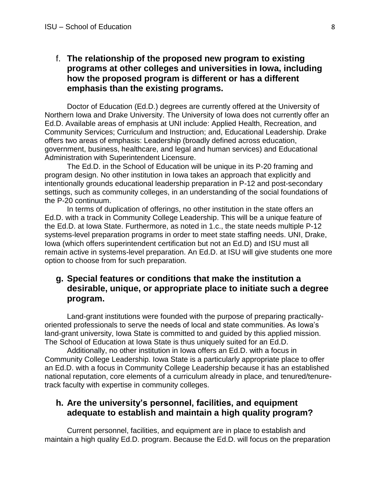#### f. **The relationship of the proposed new program to existing programs at other colleges and universities in Iowa, including how the proposed program is different or has a different emphasis than the existing programs.**

Doctor of Education (Ed.D.) degrees are currently offered at the University of Northern Iowa and Drake University. The University of Iowa does not currently offer an Ed.D. Available areas of emphasis at UNI include: Applied Health, Recreation, and Community Services; Curriculum and Instruction; and, Educational Leadership. Drake offers two areas of emphasis: Leadership (broadly defined across education, government, business, healthcare, and legal and human services) and Educational Administration with Superintendent Licensure.

The Ed.D. in the School of Education will be unique in its P-20 framing and program design. No other institution in Iowa takes an approach that explicitly and intentionally grounds educational leadership preparation in P-12 and post-secondary settings, such as community colleges, in an understanding of the social foundations of the P-20 continuum.

In terms of duplication of offerings, no other institution in the state offers an Ed.D. with a track in Community College Leadership. This will be a unique feature of the Ed.D. at Iowa State. Furthermore, as noted in 1.c., the state needs multiple P-12 systems-level preparation programs in order to meet state staffing needs. UNI, Drake, Iowa (which offers superintendent certification but not an Ed.D) and ISU must all remain active in systems-level preparation. An Ed.D. at ISU will give students one more option to choose from for such preparation.

#### **g. Special features or conditions that make the institution a desirable, unique, or appropriate place to initiate such a degree program.**

Land-grant institutions were founded with the purpose of preparing practicallyoriented professionals to serve the needs of local and state communities. As Iowa's land-grant university, Iowa State is committed to and guided by this applied mission. The School of Education at Iowa State is thus uniquely suited for an Ed.D.

Additionally, no other institution in Iowa offers an Ed.D. with a focus in Community College Leadership. Iowa State is a particularly appropriate place to offer an Ed.D. with a focus in Community College Leadership because it has an established national reputation, core elements of a curriculum already in place, and tenured/tenuretrack faculty with expertise in community colleges.

#### **h. Are the university's personnel, facilities, and equipment adequate to establish and maintain a high quality program?**

Current personnel, facilities, and equipment are in place to establish and maintain a high quality Ed.D. program. Because the Ed.D. will focus on the preparation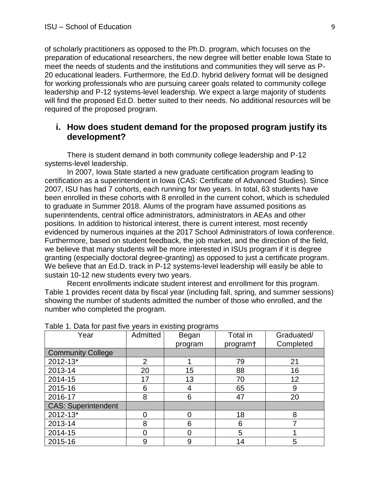of scholarly practitioners as opposed to the Ph.D. program, which focuses on the preparation of educational researchers, the new degree will better enable Iowa State to meet the needs of students and the institutions and communities they will serve as P-20 educational leaders. Furthermore, the Ed.D. hybrid delivery format will be designed for working professionals who are pursuing career goals related to community college leadership and P-12 systems-level leadership. We expect a large majority of students will find the proposed Ed.D. better suited to their needs. No additional resources will be required of the proposed program.

#### **i. How does student demand for the proposed program justify its development?**

There is student demand in both community college leadership and P-12 systems-level leadership.

In 2007, Iowa State started a new graduate certification program leading to certification as a superintendent in Iowa (CAS: Certificate of Advanced Studies). Since 2007, ISU has had 7 cohorts, each running for two years. In total, 63 students have been enrolled in these cohorts with 8 enrolled in the current cohort, which is scheduled to graduate in Summer 2018. Alums of the program have assumed positions as superintendents, central office administrators, administrators in AEAs and other positions. In addition to historical interest, there is current interest, most recently evidenced by numerous inquiries at the 2017 School Administrators of Iowa conference. Furthermore, based on student feedback, the job market, and the direction of the field, we believe that many students will be more interested in ISUs program if it is degree granting (especially doctoral degree-granting) as opposed to just a certificate program. We believe that an Ed.D. track in P-12 systems-level leadership will easily be able to sustain 10-12 new students every two years.

Recent enrollments indicate student interest and enrollment for this program. Table 1 provides recent data by fiscal year (including fall, spring, and summer sessions) showing the number of students admitted the number of those who enrolled, and the number who completed the program.

| Year                       | Admitted       | Began   | Total in             | Graduated/ |
|----------------------------|----------------|---------|----------------------|------------|
|                            |                | program | program <sup>+</sup> | Completed  |
| <b>Community College</b>   |                |         |                      |            |
| 2012-13*                   | $\overline{2}$ |         | 79                   | 21         |
| 2013-14                    | 20             | 15      | 88                   | 16         |
| 2014-15                    | 17             | 13      | 70                   | 12         |
| 2015-16                    | 6              | 4       | 65                   | 9          |
| 2016-17                    | 8              | 6       | 47                   | 20         |
| <b>CAS: Superintendent</b> |                |         |                      |            |
| 2012-13*                   | ∩              | ⋂       | 18                   | 8          |
| 2013-14                    | 8              | 6       | 6                    |            |
| 2014-15                    | U              |         | 5                    |            |
| 2015-16                    | 9              | 9       | 14                   | 5          |

Table 1. Data for past five years in existing programs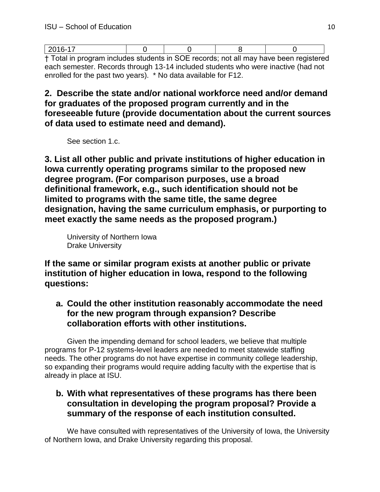| t Total in program includes students in SOE records; not all may have heap registered |  |  |
|---------------------------------------------------------------------------------------|--|--|

† Total in program includes students in SOE records; not all may have been registered each semester. Records through 13-14 included students who were inactive (had not enrolled for the past two years). \* No data available for F12.

**2. Describe the state and/or national workforce need and/or demand for graduates of the proposed program currently and in the foreseeable future (provide documentation about the current sources of data used to estimate need and demand).** 

See section 1.c.

**3. List all other public and private institutions of higher education in Iowa currently operating programs similar to the proposed new degree program. (For comparison purposes, use a broad definitional framework, e.g., such identification should not be limited to programs with the same title, the same degree designation, having the same curriculum emphasis, or purporting to meet exactly the same needs as the proposed program.)** 

University of Northern Iowa Drake University

**If the same or similar program exists at another public or private institution of higher education in Iowa, respond to the following questions:**

**a. Could the other institution reasonably accommodate the need for the new program through expansion? Describe collaboration efforts with other institutions.**

Given the impending demand for school leaders, we believe that multiple programs for P-12 systems-level leaders are needed to meet statewide staffing needs. The other programs do not have expertise in community college leadership, so expanding their programs would require adding faculty with the expertise that is already in place at ISU.

### **b. With what representatives of these programs has there been consultation in developing the program proposal? Provide a summary of the response of each institution consulted.**

We have consulted with representatives of the University of Iowa, the University of Northern Iowa, and Drake University regarding this proposal.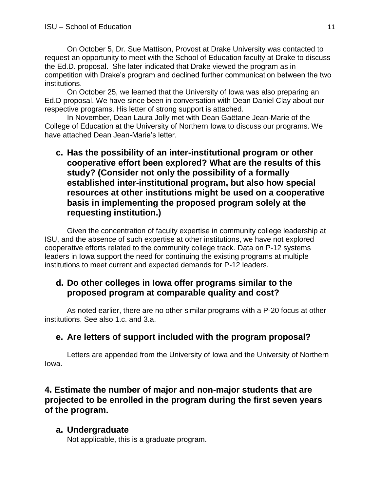On October 5, Dr. Sue Mattison, Provost at Drake University was contacted to request an opportunity to meet with the School of Education faculty at Drake to discuss the Ed.D. proposal. She later indicated that Drake viewed the program as in competition with Drake's program and declined further communication between the two institutions.

On October 25, we learned that the University of Iowa was also preparing an Ed.D proposal. We have since been in conversation with Dean Daniel Clay about our respective programs. His letter of strong support is attached.

In November, Dean Laura Jolly met with Dean Gaëtane Jean-Marie of the College of Education at the University of Northern Iowa to discuss our programs. We have attached Dean Jean-Marie's letter.

### **c. Has the possibility of an inter-institutional program or other cooperative effort been explored? What are the results of this study? (Consider not only the possibility of a formally established inter-institutional program, but also how special resources at other institutions might be used on a cooperative basis in implementing the proposed program solely at the requesting institution.)**

Given the concentration of faculty expertise in community college leadership at ISU, and the absence of such expertise at other institutions, we have not explored cooperative efforts related to the community college track. Data on P-12 systems leaders in Iowa support the need for continuing the existing programs at multiple institutions to meet current and expected demands for P-12 leaders.

### **d. Do other colleges in Iowa offer programs similar to the proposed program at comparable quality and cost?**

As noted earlier, there are no other similar programs with a P-20 focus at other institutions. See also 1.c. and 3.a.

### **e. Are letters of support included with the program proposal?**

Letters are appended from the University of Iowa and the University of Northern Iowa.

**4. Estimate the number of major and non-major students that are projected to be enrolled in the program during the first seven years of the program.** 

#### **a. Undergraduate**

Not applicable, this is a graduate program.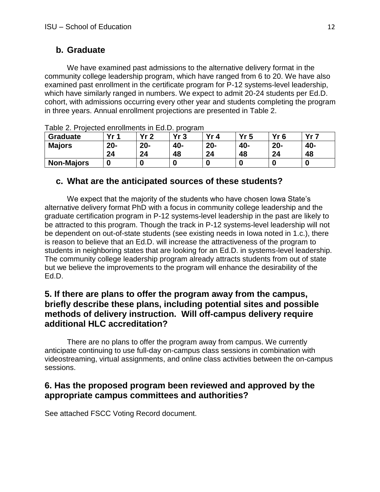### **b. Graduate**

We have examined past admissions to the alternative delivery format in the community college leadership program, which have ranged from 6 to 20. We have also examined past enrollment in the certificate program for P-12 systems-level leadership, which have similarly ranged in numbers. We expect to admit 20-24 students per Ed.D. cohort, with admissions occurring every other year and students completing the program in three years. Annual enrollment projections are presented in Table 2.

| <b>Graduate</b>   | Yr <sub>1</sub> | Vr ク   | Vr 2 | Yr<br>4 | Yr5 | Yr 6   | v. 7 |
|-------------------|-----------------|--------|------|---------|-----|--------|------|
| <b>Majors</b>     | $20 -$          | $20 -$ | 40-  | $20 -$  | 40- | $20 -$ | 40-  |
|                   | 24              | 24     | 48   | 24      | 48  | 24     | 48   |
| <b>Non-Majors</b> | O               |        |      |         |     |        |      |

Table 2. Projected enrollments in Ed.D. program

### **c. What are the anticipated sources of these students?**

We expect that the majority of the students who have chosen Iowa State's alternative delivery format PhD with a focus in community college leadership and the graduate certification program in P-12 systems-level leadership in the past are likely to be attracted to this program. Though the track in P-12 systems-level leadership will not be dependent on out-of-state students (see existing needs in Iowa noted in 1.c.), there is reason to believe that an Ed.D. will increase the attractiveness of the program to students in neighboring states that are looking for an Ed.D. in systems-level leadership. The community college leadership program already attracts students from out of state but we believe the improvements to the program will enhance the desirability of the Ed.D.

### **5. If there are plans to offer the program away from the campus, briefly describe these plans, including potential sites and possible methods of delivery instruction. Will off-campus delivery require additional HLC accreditation?**

There are no plans to offer the program away from campus. We currently anticipate continuing to use full-day on-campus class sessions in combination with videostreaming, virtual assignments, and online class activities between the on-campus sessions.

### **6. Has the proposed program been reviewed and approved by the appropriate campus committees and authorities?**

See attached FSCC Voting Record document.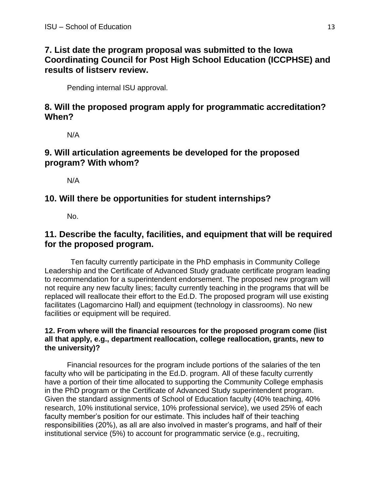### **7. List date the program proposal was submitted to the Iowa Coordinating Council for Post High School Education (ICCPHSE) and results of listserv review.**

Pending internal ISU approval.

#### **8. Will the proposed program apply for programmatic accreditation? When?**

N/A

### **9. Will articulation agreements be developed for the proposed program? With whom?**

N/A

### **10. Will there be opportunities for student internships?**

No.

### **11. Describe the faculty, facilities, and equipment that will be required for the proposed program.**

Ten faculty currently participate in the PhD emphasis in Community College Leadership and the Certificate of Advanced Study graduate certificate program leading to recommendation for a superintendent endorsement. The proposed new program will not require any new faculty lines; faculty currently teaching in the programs that will be replaced will reallocate their effort to the Ed.D. The proposed program will use existing facilitates (Lagomarcino Hall) and equipment (technology in classrooms). No new facilities or equipment will be required.

#### **12. From where will the financial resources for the proposed program come (list all that apply, e.g., department reallocation, college reallocation, grants, new to the university)?**

Financial resources for the program include portions of the salaries of the ten faculty who will be participating in the Ed.D. program. All of these faculty currently have a portion of their time allocated to supporting the Community College emphasis in the PhD program or the Certificate of Advanced Study superintendent program. Given the standard assignments of School of Education faculty (40% teaching, 40% research, 10% institutional service, 10% professional service), we used 25% of each faculty member's position for our estimate. This includes half of their teaching responsibilities (20%), as all are also involved in master's programs, and half of their institutional service (5%) to account for programmatic service (e.g., recruiting,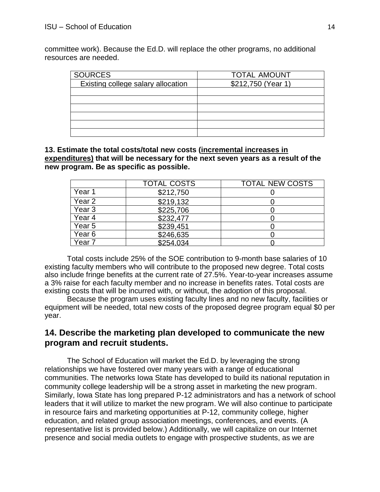committee work). Because the Ed.D. will replace the other programs, no additional resources are needed.

| <b>SOURCES</b>                     | <b>TOTAL AMOUNT</b> |
|------------------------------------|---------------------|
| Existing college salary allocation | \$212,750 (Year 1)  |
|                                    |                     |
|                                    |                     |
|                                    |                     |
|                                    |                     |
|                                    |                     |
|                                    |                     |

**13. Estimate the total costs/total new costs (incremental increases in expenditures) that will be necessary for the next seven years as a result of the new program. Be as specific as possible.** 

|                   | <b>TOTAL COSTS</b> | <b>TOTAL NEW COSTS</b> |
|-------------------|--------------------|------------------------|
| Year 1            | \$212,750          |                        |
| Year <sub>2</sub> | \$219,132          |                        |
| Year <sub>3</sub> | \$225,706          |                        |
| Year 4            | \$232,477          |                        |
| Year <sub>5</sub> | \$239,451          |                        |
| Year 6            | \$246,635          |                        |
| Year 7            | \$254.034          |                        |

Total costs include 25% of the SOE contribution to 9-month base salaries of 10 existing faculty members who will contribute to the proposed new degree. Total costs also include fringe benefits at the current rate of 27.5%. Year-to-year increases assume a 3% raise for each faculty member and no increase in benefits rates. Total costs are existing costs that will be incurred with, or without, the adoption of this proposal.

Because the program uses existing faculty lines and no new faculty, facilities or equipment will be needed, total new costs of the proposed degree program equal \$0 per year.

#### **14. Describe the marketing plan developed to communicate the new program and recruit students.**

The School of Education will market the Ed.D. by leveraging the strong relationships we have fostered over many years with a range of educational communities. The networks Iowa State has developed to build its national reputation in community college leadership will be a strong asset in marketing the new program. Similarly, Iowa State has long prepared P-12 administrators and has a network of school leaders that it will utilize to market the new program. We will also continue to participate in resource fairs and marketing opportunities at P-12, community college, higher education, and related group association meetings, conferences, and events. (A representative list is provided below.) Additionally, we will capitalize on our Internet presence and social media outlets to engage with prospective students, as we are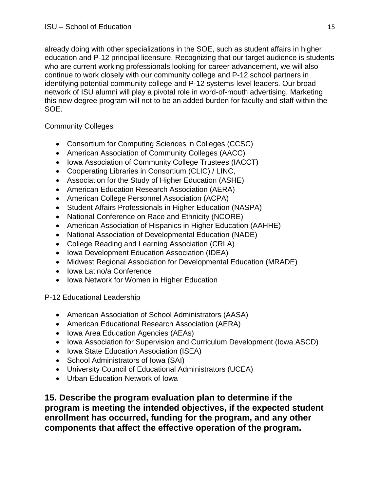already doing with other specializations in the SOE, such as student affairs in higher education and P-12 principal licensure. Recognizing that our target audience is students who are current working professionals looking for career advancement, we will also continue to work closely with our community college and P-12 school partners in identifying potential community college and P-12 systems-level leaders. Our broad network of ISU alumni will play a pivotal role in word-of-mouth advertising. Marketing this new degree program will not to be an added burden for faculty and staff within the SOE.

#### Community Colleges

- Consortium for Computing Sciences in Colleges (CCSC)
- American Association of Community Colleges (AACC)
- Iowa Association of Community College Trustees (IACCT)
- Cooperating Libraries in Consortium (CLIC) / LINC,
- Association for the Study of Higher Education (ASHE)
- American Education Research Association (AERA)
- American College Personnel Association (ACPA)
- Student Affairs Professionals in Higher Education (NASPA)
- National Conference on Race and Ethnicity (NCORE)
- American Association of Hispanics in Higher Education (AAHHE)
- National Association of Developmental Education (NADE)
- College Reading and Learning Association (CRLA)
- Iowa Development Education Association (IDEA)
- Midwest Regional Association for Developmental Education (MRADE)
- Iowa Latino/a Conference
- Iowa Network for Women in Higher Education

P-12 Educational Leadership

- American Association of School Administrators (AASA)
- American Educational Research Association (AERA)
- Iowa Area Education Agencies (AEAs)
- Iowa Association for Supervision and Curriculum Development (Iowa ASCD)
- Iowa State Education Association (ISEA)
- School Administrators of Iowa (SAI)
- University Council of Educational Administrators (UCEA)
- Urban Education Network of Iowa

**15. Describe the program evaluation plan to determine if the program is meeting the intended objectives, if the expected student enrollment has occurred, funding for the program, and any other components that affect the effective operation of the program.**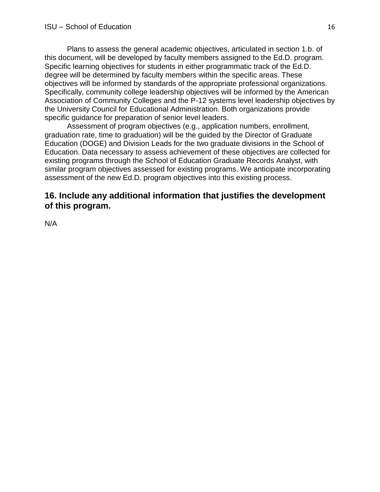Plans to assess the general academic objectives, articulated in section 1.b. of this document, will be developed by faculty members assigned to the Ed.D. program. Specific learning objectives for students in either programmatic track of the Ed.D. degree will be determined by faculty members within the specific areas. These objectives will be informed by standards of the appropriate professional organizations. Specifically, community college leadership objectives will be informed by the American Association of Community Colleges and the P-12 systems level leadership objectives by the University Council for Educational Administration. Both organizations provide specific guidance for preparation of senior level leaders.

Assessment of program objectives (e.g., application numbers, enrollment, graduation rate, time to graduation) will be the guided by the Director of Graduate Education (DOGE) and Division Leads for the two graduate divisions in the School of Education. Data necessary to assess achievement of these objectives are collected for existing programs through the School of Education Graduate Records Analyst, with similar program objectives assessed for existing programs. We anticipate incorporating assessment of the new Ed.D. program objectives into this existing process.

#### **16. Include any additional information that justifies the development of this program.**

N/A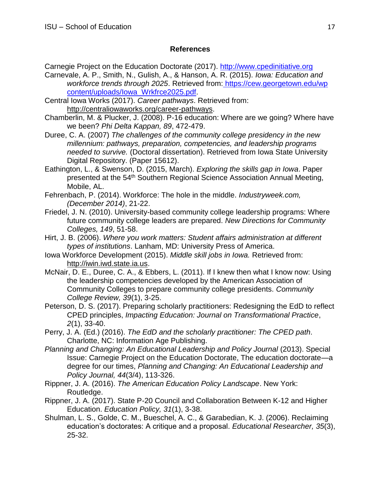#### **References**

Carnegie Project on the Education Doctorate (2017). [http://www.cpedinitiative.org](http://www.cpedinitiative.org/)

- Carnevale, A. P., Smith, N., Gulish, A., & Hanson, A. R. (2015). *Iowa: Education and workforce trends through 2025*. Retrieved from: [https://cew.georgetown.edu/wp](https://cew.georgetown.edu/wpcontent/uploads/Iowa_Wrkfrce2025.pdf) [content/uploads/Iowa\\_Wrkfrce2025.pdf.](https://cew.georgetown.edu/wpcontent/uploads/Iowa_Wrkfrce2025.pdf)
- Central Iowa Works (2017). *Career pathways*. Retrieved from[:](http://centraliowaworks.org/career-pathways) [http://centraliowaworks.org/career-pathways.](http://centraliowaworks.org/career-pathways)
- Chamberlin, M. & Plucker, J. (2008). P-16 education: Where are we going? Where have we been? *Phi Delta Kappan, 89*, 472-479.
- Duree, C. A. (2007) *The challenges of the community college presidency in the new millennium: pathways, preparation, competencies, and leadership programs needed to survive.* (Doctoral dissertation). Retrieved from Iowa State University Digital Repository. (Paper 15612).
- Eathington, L., & Swenson, D. (2015, March). *Exploring the skills gap in Iowa*. Paper presented at the 54<sup>th</sup> Southern Regional Science Association Annual Meeting, Mobile, AL.
- Fehrenbach, P. (2014). Workforce: The hole in the middle. *Industryweek.com, (December 2014)*, 21-22.
- Friedel, J. N. (2010). University-based community college leadership programs: Where future community college leaders are prepared. *New Directions for Community Colleges, 149*, 51-58.
- Hirt, J. B. (2006). *Where you work matters: Student affairs administration at different types of institutions*. Lanham, MD: University Press of America.
- Iowa Workforce Development (2015). *Middle skill jobs in Iowa.* Retrieved from[:](http://iwin.iwd.state.ia.us/) [http://iwin.iwd.state.ia.us.](http://iwin.iwd.state.ia.us/)
- McNair, D. E., Duree, C. A., & Ebbers, L. (2011). If I knew then what I know now: Using the leadership competencies developed by the American Association of Community Colleges to prepare community college presidents. *Community College Review, 39*(1), 3-25.
- Peterson, D. S. (2017). Preparing scholarly practitioners: Redesigning the EdD to reflect CPED principles, *Impacting Education: Journal on Transformational Practice*, *2*(1), 33-40.
- Perry, J. A. (Ed.) (2016). *The EdD and the scholarly practitioner: The CPED path*. Charlotte, NC: Information Age Publishing.
- *Planning and Changing: An Educational Leadership and Policy Journal* (2013). Special Issue: Carnegie Project on the Education Doctorate, The education doctorate—a degree for our times, *Planning and Changing: An Educational Leadership and Policy Journal, 44*(3/4), 113-326.
- Rippner, J. A. (2016). *The American Education Policy Landscape*. New York: Routledge.
- Rippner, J. A. (2017). State P-20 Council and Collaboration Between K-12 and Higher Education. *Education Policy, 31*(1), 3-38.
- Shulman, L. S., Golde, C. M., Bueschel, A. C., & Garabedian, K. J. (2006). Reclaiming education's doctorates: A critique and a proposal. *Educational Researcher, 35*(3), 25-32.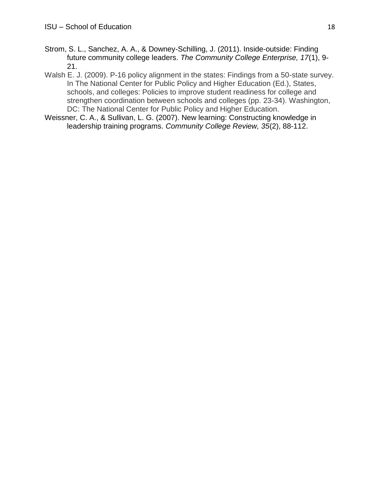- Strom, S. L., Sanchez, A. A., & Downey-Schilling, J. (2011). Inside-outside: Finding future community college leaders. *The Community College Enterprise, 17*(1), 9- 21.
- Walsh E. J. (2009). P-16 policy alignment in the states: Findings from a 50-state survey. In The National Center for Public Policy and Higher Education (Ed.), States, schools, and colleges: Policies to improve student readiness for college and strengthen coordination between schools and colleges (pp. 23-34). Washington, DC: The National Center for Public Policy and Higher Education.
- Weissner, C. A., & Sullivan, L. G. (2007). New learning: Constructing knowledge in leadership training programs. *Community College Review, 35*(2), 88-112.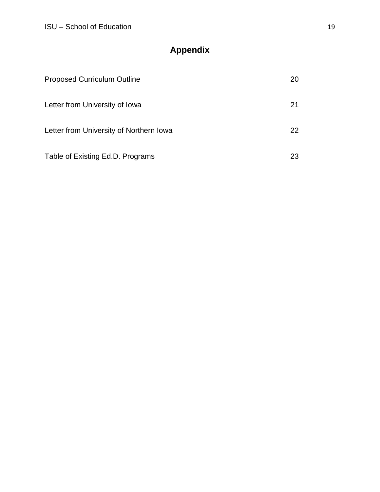# **Appendix**

| <b>Proposed Curriculum Outline</b>      | 20  |
|-----------------------------------------|-----|
| Letter from University of Iowa          | 21  |
| Letter from University of Northern Iowa | 22. |
| Table of Existing Ed.D. Programs        | 23  |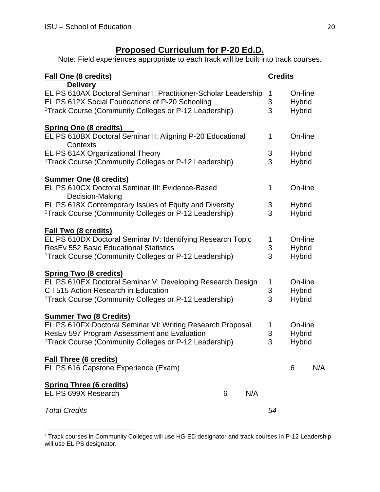$\overline{a}$ 

## **Proposed Curriculum for P-20 Ed.D.**

Note: Field experiences appropriate to each track will be built into track courses.

| Fall One (8 credits)<br><b>Delivery</b>                                                                                                                                                 |   |     | <b>Credits</b>            |                                           |     |
|-----------------------------------------------------------------------------------------------------------------------------------------------------------------------------------------|---|-----|---------------------------|-------------------------------------------|-----|
| EL PS 610AX Doctoral Seminar I: Practitioner-Scholar Leadership<br>EL PS 612X Social Foundations of P-20 Schooling<br><sup>1</sup> Track Course (Community Colleges or P-12 Leadership) |   |     | 1<br>3<br>3               | On-line<br><b>Hybrid</b><br><b>Hybrid</b> |     |
| <b>Spring One (8 credits)</b>                                                                                                                                                           |   |     |                           |                                           |     |
| EL PS 610BX Doctoral Seminar II: Aligning P-20 Educational<br>Contexts                                                                                                                  |   |     | 1                         | On-line                                   |     |
| EL PS 614X Organizational Theory                                                                                                                                                        |   |     | 3                         | <b>Hybrid</b>                             |     |
| <sup>1</sup> Track Course (Community Colleges or P-12 Leadership)                                                                                                                       |   |     | 3                         | <b>Hybrid</b>                             |     |
| <b>Summer One (8 credits)</b>                                                                                                                                                           |   |     |                           |                                           |     |
| EL PS 610CX Doctoral Seminar III: Evidence-Based<br>Decision-Making                                                                                                                     |   |     | 1                         | On-line                                   |     |
| EL PS 618X Contemporary Issues of Equity and Diversity                                                                                                                                  |   |     |                           | <b>Hybrid</b>                             |     |
| <sup>1</sup> Track Course (Community Colleges or P-12 Leadership)                                                                                                                       |   |     | $\frac{3}{3}$             | <b>Hybrid</b>                             |     |
|                                                                                                                                                                                         |   |     |                           |                                           |     |
| <b>Fall Two (8 credits)</b><br>EL PS 610DX Doctoral Seminar IV: Identifying Research Topic                                                                                              |   |     | 1                         | On-line                                   |     |
| <b>ResEv 552 Basic Educational Statistics</b>                                                                                                                                           |   |     | $\ensuremath{\mathsf{3}}$ | <b>Hybrid</b>                             |     |
| <sup>1</sup> Track Course (Community Colleges or P-12 Leadership)                                                                                                                       |   |     | 3                         | <b>Hybrid</b>                             |     |
|                                                                                                                                                                                         |   |     |                           |                                           |     |
| <b>Spring Two (8 credits)</b><br>EL PS 610EX Doctoral Seminar V: Developing Research Design                                                                                             |   |     | 1                         | On-line                                   |     |
| C I 515 Action Research in Education                                                                                                                                                    |   |     | 3                         | <b>Hybrid</b>                             |     |
| <sup>1</sup> Track Course (Community Colleges or P-12 Leadership)                                                                                                                       |   |     | 3                         | <b>Hybrid</b>                             |     |
|                                                                                                                                                                                         |   |     |                           |                                           |     |
| <b>Summer Two (8 Credits)</b><br>EL PS 610FX Doctoral Seminar VI: Writing Research Proposal                                                                                             |   |     | 1                         | On-line                                   |     |
| ResEv 597 Program Assessment and Evaluation                                                                                                                                             |   |     | 3                         | <b>Hybrid</b>                             |     |
| <sup>1</sup> Track Course (Community Colleges or P-12 Leadership)                                                                                                                       |   | 3   | <b>Hybrid</b>             |                                           |     |
|                                                                                                                                                                                         |   |     |                           |                                           |     |
| <b>Fall Three (6 credits)</b><br>EL PS 616 Capstone Experience (Exam)                                                                                                                   |   |     |                           | 6                                         | N/A |
| <b>Spring Three (6 credits)</b>                                                                                                                                                         |   |     |                           |                                           |     |
| EL PS 699X Research                                                                                                                                                                     | 6 | N/A |                           |                                           |     |
| <b>Total Credits</b>                                                                                                                                                                    |   |     | 54                        |                                           |     |

 $1$  Track courses in Community Colleges will use HG ED designator and track courses in P-12 Leadership will use EL PS designator.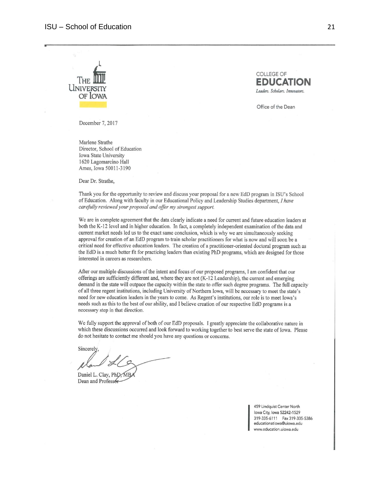



Office of the Dean

December 7, 2017

Marlene Strathe Director, School of Education Iowa State University 1620 Lagomarcino Hall Ames, Iowa 50011-3190

Dear Dr. Strathe,

Thank you for the opportunity to review and discuss your proposal for a new EdD program in ISU's School of Education. Along with faculty in our Educational Policy and Leadership Studies department, I have carefully reviewed your proposal and offer my strongest support.

We are in complete agreement that the data clearly indicate a need for current and future education leaders at both the K-12 level and in higher education. In fact, a completely independent examination of the data and current market needs led us to the exact same conclusion, which is why we are simultaneously seeking approval for creation of an EdD program to train scholar practitioners for what is now and will soon be a critical need for effective education leaders. The creation of a practitioner-oriented doctoral program such as the EdD is a much better fit for practicing leaders than existing PhD programs, which are designed for those interested in careers as researchers.

After our multiple discussions of the intent and focus of our proposed programs, I am confident that our offerings are sufficiently different and, where they are not (K-12 Leadership), the current and emerging demand in the state will outpace the capacity within the state to offer such degree programs. The full capacity of all three regent institutions, including University of Northern Iowa, will be necessary to meet the state's need for new education leaders in the years to come. As Regent's institutions, our role is to meet Iowa's needs such as this to the best of our ability, and I believe creation of our respective EdD programs is a necessary step in that direction.

We fully support the approval of both of our EdD proposals. I greatly appreciate the collaborative nature in which these discussions occurred and look forward to working together to best serve the state of Iowa. Please do not hesitate to contact me should you have any questions or concerns.

Sincerely

Daniel L. Clay, PhD, MB Dean and Professor

459 Lindquist Center North lowa City, Iowa 52242-1529 319-335-6111 Fax 319-335-5386 educationatiowa@uiowa.edu www.education.uiowa.edu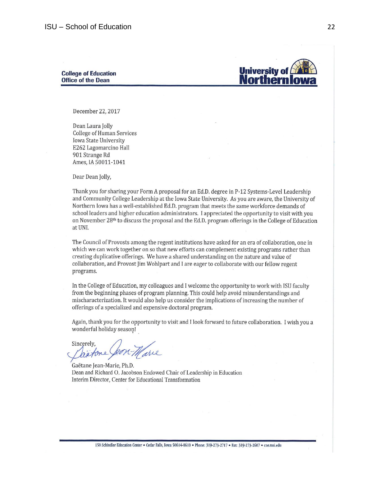#### **College of Education Office of the Dean**



December 22, 2017

Dean Laura Jolly **College of Human Services** Iowa State University E262 Lagomarcino Hall 901 Strange Rd Ames, IA 50011-1041

Dear Dean Jolly,

Thank you for sharing your Form A proposal for an Ed.D. degree in P-12 Systems-Level Leadership and Community College Leadership at the Iowa State University. As you are aware, the University of Northern Iowa has a well-established Ed.D. program that meets the same workforce demands of school leaders and higher education administrators. I appreciated the opportunity to visit with you on November  $28<sup>th</sup>$  to discuss the proposal and the Ed.D. program offerings in the College of Education at UNI.

The Council of Provosts among the regent institutions have asked for an era of collaboration, one in which we can work together on so that new efforts can complement existing programs rather than creating duplicative offerings. We have a shared understanding on the nature and value of collaboration, and Provost Jim Wohlpart and I are eager to collaborate with our fellow regent programs.

In the College of Education, my colleagues and I welcome the opportunity to work with ISU faculty from the beginning phases of program planning. This could help avoid misunderstandings and mischaracterization. It would also help us consider the implications of increasing the number of offerings of a specialized and expensive doctoral program.

Again, thank you for the opportunity to visit and I look forward to future collaboration. I wish you a wonderful holiday season!

Sincerely,

Gaëtane Jean-Marie, Ph.D. Dean and Richard O. Jacobson Endowed Chair of Leadership in Education Interim Director, Center for Educational Transformation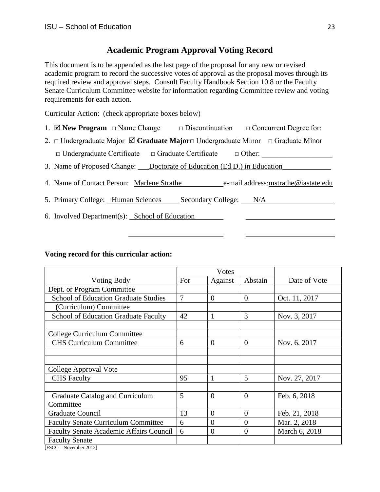#### **Academic Program Approval Voting Record**

This document is to be appended as the last page of the proposal for any new or revised academic program to record the successive votes of approval as the proposal moves through its required review and approval steps. Consult Faculty Handbook Section 10.8 or the Faculty Senate Curriculum Committee website for information regarding Committee review and voting requirements for each action.

Curricular Action: (check appropriate boxes below)

- 1.  $\Box$  **New Program** □ Name Change □ Discontinuation □ Concurrent Degree for:
- 2. □ Undergraduate Major **Graduate Major**□ Undergraduate Minor □ Graduate Minor

 $\Box$  Undergraduate Certificate  $\Box$  Graduate Certificate  $\Box$  Other:

- 3. Name of Proposed Change: Doctorate of Education (Ed.D.) in Education
- 4. Name of Contact Person: Marlene Strathe e-mail address: mstrathe@iastate.edu
- 5. Primary College: Human Sciences Secondary College: N/A
- 6. Involved Department(s): School of Education

#### **Voting record for this curricular action:**

|                                                |                | Votes          |          |               |
|------------------------------------------------|----------------|----------------|----------|---------------|
| <b>Voting Body</b>                             | For            | Against        | Abstain  | Date of Vote  |
| Dept. or Program Committee                     |                |                |          |               |
| <b>School of Education Graduate Studies</b>    | $\overline{7}$ | $\theta$       | $\theta$ | Oct. 11, 2017 |
| (Curriculum) Committee                         |                |                |          |               |
| <b>School of Education Graduate Faculty</b>    | 42             | 1              | 3        | Nov. 3, 2017  |
|                                                |                |                |          |               |
| College Curriculum Committee                   |                |                |          |               |
| <b>CHS Curriculum Committee</b>                | 6              | $\theta$       | $\theta$ | Nov. 6, 2017  |
|                                                |                |                |          |               |
|                                                |                |                |          |               |
| College Approval Vote                          |                |                |          |               |
| <b>CHS</b> Faculty                             | 95             |                | 5        | Nov. 27, 2017 |
|                                                |                |                |          |               |
| Graduate Catalog and Curriculum                | 5              | $\theta$       | $\theta$ | Feb. 6, 2018  |
| Committee                                      |                |                |          |               |
| <b>Graduate Council</b>                        | 13             | $\overline{0}$ | $\theta$ | Feb. 21, 2018 |
| <b>Faculty Senate Curriculum Committee</b>     | 6              | $\overline{0}$ | $\theta$ | Mar. 2, 2018  |
| <b>Faculty Senate Academic Affairs Council</b> | 6              | $\overline{0}$ | $\theta$ | March 6, 2018 |
| <b>Faculty Senate</b>                          |                |                |          |               |
| [FSCC – November 2013]                         |                |                |          |               |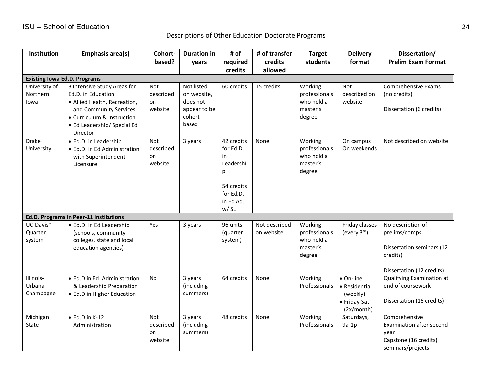Descriptions of Other Education Doctorate Programs

| Institution                         | Emphasis area(s)                                                                                                                                                                     | Cohort-                                  | <b>Duration in</b>                                                        | # of                                                                                            | # of transfer               | <b>Target</b>                                                | <b>Delivery</b>                                                    | Dissertation/                                                                                            |
|-------------------------------------|--------------------------------------------------------------------------------------------------------------------------------------------------------------------------------------|------------------------------------------|---------------------------------------------------------------------------|-------------------------------------------------------------------------------------------------|-----------------------------|--------------------------------------------------------------|--------------------------------------------------------------------|----------------------------------------------------------------------------------------------------------|
|                                     |                                                                                                                                                                                      | based?                                   | years                                                                     | required                                                                                        | credits                     | students                                                     | format                                                             | <b>Prelim Exam Format</b>                                                                                |
|                                     |                                                                                                                                                                                      |                                          |                                                                           | credits                                                                                         | allowed                     |                                                              |                                                                    |                                                                                                          |
| <b>Existing lowa Ed.D. Programs</b> |                                                                                                                                                                                      |                                          |                                                                           |                                                                                                 |                             |                                                              |                                                                    |                                                                                                          |
| University of<br>Northern<br>lowa   | 3 Intensive Study Areas for<br>Ed.D. in Education<br>• Allied Health, Recreation,<br>and Community Services<br>• Curriculum & Instruction<br>• Ed Leadership/ Special Ed<br>Director | Not<br>described<br>on<br>website        | Not listed<br>on website,<br>does not<br>appear to be<br>cohort-<br>based | 60 credits                                                                                      | 15 credits                  | Working<br>professionals<br>who hold a<br>master's<br>degree | Not<br>described on<br>website                                     | Comprehensive Exams<br>(no credits)<br>Dissertation (6 credits)                                          |
| <b>Drake</b><br>University          | • Ed.D. in Leadership<br>• Ed.D. in Ed Administration<br>with Superintendent<br>Licensure                                                                                            | <b>Not</b><br>described<br>on<br>website | 3 years                                                                   | 42 credits<br>for Ed.D.<br>in<br>Leadershi<br>p<br>54 credits<br>for Ed.D.<br>in Ed Ad.<br>w/SL | None                        | Working<br>professionals<br>who hold a<br>master's<br>degree | On campus<br>On weekends                                           | Not described on website                                                                                 |
|                                     | Ed.D. Programs in Peer-11 Institutions                                                                                                                                               |                                          |                                                                           |                                                                                                 |                             |                                                              |                                                                    |                                                                                                          |
| UC-Davis*<br>Quarter<br>system      | · Ed.D. in Ed Leadership<br>(schools, community<br>colleges, state and local<br>education agencies)                                                                                  | Yes                                      | 3 years                                                                   | 96 units<br>(quarter<br>system)                                                                 | Not described<br>on website | Working<br>professionals<br>who hold a<br>master's<br>degree | Friday classes<br>(every 3rd)                                      | No description of<br>prelims/comps<br>Dissertation seminars (12<br>credits)<br>Dissertation (12 credits) |
| Illinois-<br>Urbana<br>Champagne    | • Ed.D in Ed. Administration<br>& Leadership Preparation<br>• Ed.D in Higher Education                                                                                               | <b>No</b>                                | 3 years<br>(including<br>summers)                                         | 64 credits                                                                                      | None                        | Working<br>Professionals                                     | On-line<br>· Residential<br>(weekly)<br>· Friday-Sat<br>(2x/month) | Qualifying Examination at<br>end of coursework<br>Dissertation (16 credits)                              |
| Michigan<br>State                   | $\bullet$ Ed.D in K-12<br>Administration                                                                                                                                             | <b>Not</b><br>described<br>on<br>website | 3 years<br>(including<br>summers)                                         | 48 credits                                                                                      | None                        | Working<br>Professionals                                     | Saturdays,<br>$9a-1p$                                              | Comprehensive<br>Examination after second<br>year<br>Capstone (16 credits)<br>seminars/projects          |